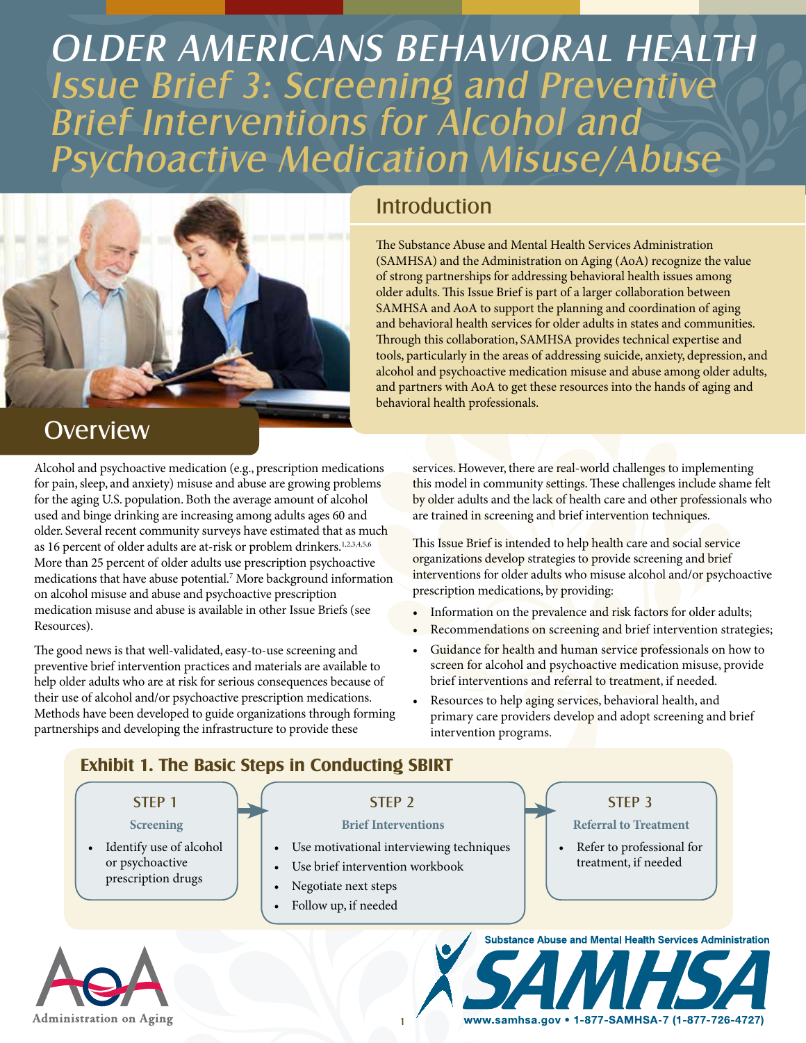# OLDER AMERICANS BEHAVIORAL HEALTH Issue Brief 3: Screening and Preventive Brief Interventions for Alcohol and Psychoactive Medication Misuse/Abuse



### **Overview**

Alcohol and psychoactive medication (e.g., prescription medications for pain, sleep, and anxiety) misuse and abuse are growing problems for the aging U.S. population. Both the average amount of alcohol used and binge drinking are increasing among adults ages 60 and older. Several recent community surveys have estimated that as much as 16 percent of older adults are at-risk or problem drinkers.<sup>1,2,3,4,5,6</sup> More than 25 percent of older adults use prescription psychoactive medications that have abuse potential.7 More background information on alcohol misuse and abuse and psychoactive prescription medication misuse and abuse is available in other Issue Briefs (see Resources).

The good news is that well-validated, easy-to-use screening and preventive brief intervention practices and materials are available to help older adults who are at risk for serious consequences because of their use of alcohol and/or psychoactive prescription medications. Methods have been developed to guide organizations through forming partnerships and developing the infrastructure to provide these

### **Introduction**

The Substance Abuse and Mental Health Services Administration (SAMHSA) and the Administration on Aging (AoA) recognize the value of strong partnerships for addressing behavioral health issues among older adults. This Issue Brief is part of a larger collaboration between SAMHSA and AoA to support the planning and coordination of aging and behavioral health services for older adults in states and communities. Through this collaboration, SAMHSA provides technical expertise and tools, particularly in the areas of addressing suicide, anxiety, depression, and alcohol and psychoactive medication misuse and abuse among older adults, and partners with AoA to get these resources into the hands of aging and behavioral health professionals.

services. However, there are real-world challenges to implementing this model in community settings. These challenges include shame felt by older adults and the lack of health care and other professionals who are trained in screening and brief intervention techniques.

This Issue Brief is intended to help health care and social service organizations develop strategies to provide screening and brief interventions for older adults who misuse alcohol and/or psychoactive prescription medications, by providing:

- Information on the prevalence and risk factors for older adults;
- Recommendations on screening and brief intervention strategies;
- Guidance for health and human service professionals on how to screen for alcohol and psychoactive medication misuse, provide brief interventions and referral to treatment, if needed.
- Resources to help aging services, behavioral health, and primary care providers develop and adopt screening and brief intervention programs.

#### **Exhibit 1. The Basic Steps in Conducting SBIRT**



1

**Administration on Aging** 

#### www.samhsa.gov • 1-877-SAMHSA-7 (1-877-726-4727)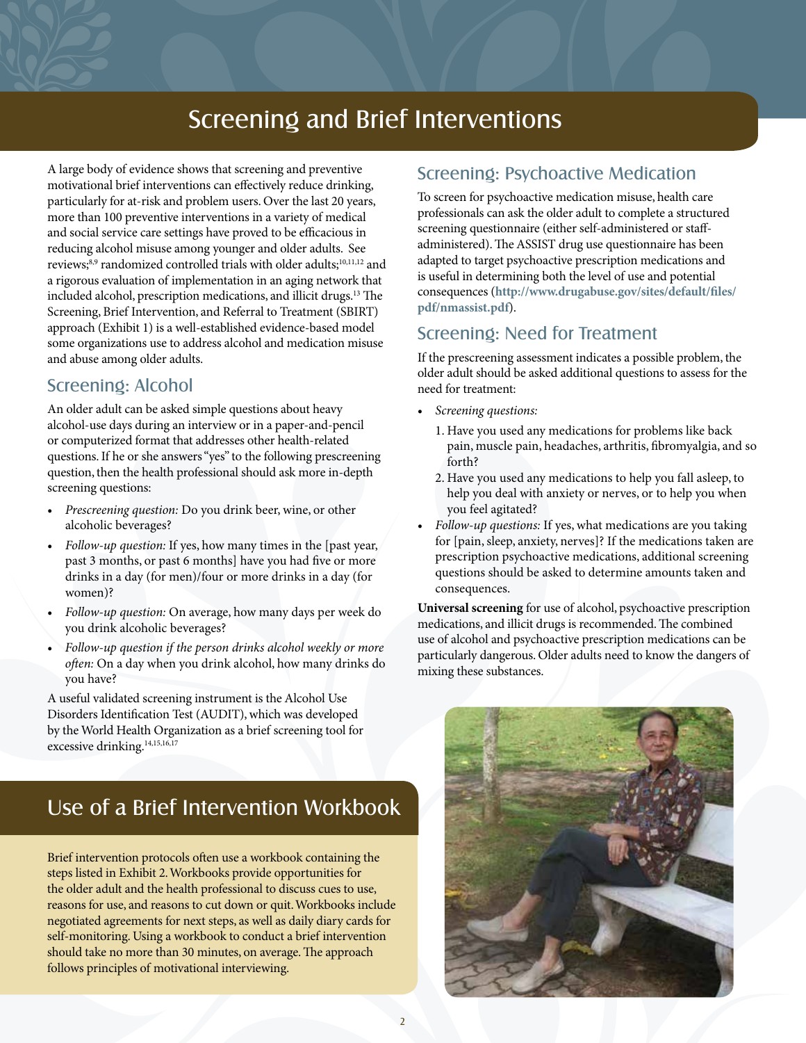### Screening and Brief Interventions

A large body of evidence shows that screening and preventive motivational brief interventions can effectively reduce drinking, particularly for at-risk and problem users. Over the last 20 years, more than 100 preventive interventions in a variety of medical and social service care settings have proved to be efficacious in reducing alcohol misuse among younger and older adults. See reviews;<sup>8,9</sup> randomized controlled trials with older adults;<sup>10,11,12</sup> and a rigorous evaluation of implementation in an aging network that included alcohol, prescription medications, and illicit drugs.<sup>13</sup> The Screening, Brief Intervention, and Referral to Treatment (SBIRT) approach (Exhibit 1) is a well-established evidence-based model some organizations use to address alcohol and medication misuse and abuse among older adults.

#### Screening: Alcohol

An older adult can be asked simple questions about heavy alcohol-use days during an interview or in a paper-and-pencil or computerized format that addresses other health-related questions. If he or she answers "yes" to the following prescreening question, then the health professional should ask more in-depth screening questions:

- *Prescreening question: Do you drink beer, wine, or other* alcoholic beverages?
- *Follow-up question:* If yes, how many times in the [past year, past 3 months, or past 6 months] have you had five or more drinks in a day (for men)/four or more drinks in a day (for women)?
- Follow-up question: On average, how many days per week do you drink alcoholic beverages?
- • *Follow-up question if the person drinks alcohol weekly or more often:* On a day when you drink alcohol, how many drinks do you have?

A useful validated screening instrument is the Alcohol Use Disorders Identification Test (AUDIT), which was developed by the World Health Organization as a brief screening tool for excessive drinking.<sup>14,15,16,17</sup>

# Use of a Brief Intervention Workbook

Brief intervention protocols often use a workbook containing the steps listed in Exhibit 2. Workbooks provide opportunities for the older adult and the health professional to discuss cues to use, reasons for use, and reasons to cut down or quit. Workbooks include negotiated agreements for next steps, as well as daily diary cards for self-monitoring. Using a workbook to conduct a brief intervention should take no more than 30 minutes, on average. The approach follows principles of motivational interviewing.

#### Screening: Psychoactive Medication

To screen for psychoactive medication misuse, health care professionals can ask the older adult to complete a structured screening questionnaire (either self-administered or staffadministered). The ASSIST drug use questionnaire has been adapted to target psychoactive prescription medications and is useful in determining both the level of use and potential consequences (**http://www.drugabuse.gov/sites/default/files/ pdf/nmassist.pdf**).

#### Screening: Need for Treatment

If the prescreening assessment indicates a possible problem, the older adult should be asked additional questions to assess for the need for treatment:

- • *Screening questions:*
	- 1. Have you used any medications for problems like back pain, muscle pain, headaches, arthritis, fibromyalgia, and so forth?
	- 2. Have you used any medications to help you fall asleep, to help you deal with anxiety or nerves, or to help you when you feel agitated?
- Follow-up questions: If yes, what medications are you taking for [pain, sleep, anxiety, nerves]? If the medications taken are prescription psychoactive medications, additional screening questions should be asked to determine amounts taken and consequences.

**Universal screening** for use of alcohol, psychoactive prescription medications, and illicit drugs is recommended. The combined use of alcohol and psychoactive prescription medications can be particularly dangerous. Older adults need to know the dangers of mixing these substances.

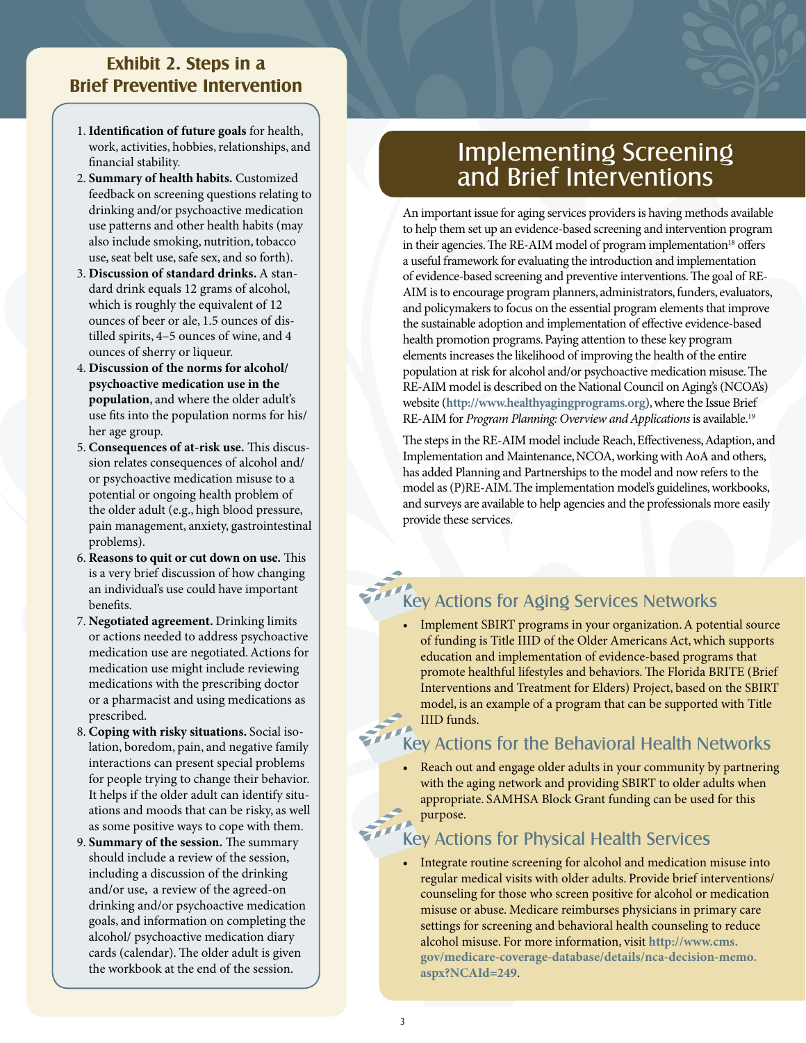#### **Exhibit 2. Steps in a Brief Preventive Intervention**

- 1. **Identification of future goals** for health, work, activities, hobbies, relationships, and financial stability.
- 2. **Summary of health habits.** Customized feedback on screening questions relating to drinking and/or psychoactive medication use patterns and other health habits (may also include smoking, nutrition, tobacco use, seat belt use, safe sex, and so forth).
- 3. **Discussion of standard drinks.** A standard drink equals 12 grams of alcohol, which is roughly the equivalent of 12 ounces of beer or ale, 1.5 ounces of distilled spirits, 4–5 ounces of wine, and 4 ounces of sherry or liqueur.
- 4. **Discussion of the norms for alcohol/ psychoactive medication use in the population**, and where the older adult's use fits into the population norms for his/ her age group.
- 5. **Consequences of at-risk use.** This discussion relates consequences of alcohol and/ or psychoactive medication misuse to a potential or ongoing health problem of the older adult (e.g., high blood pressure, pain management, anxiety, gastrointestinal problems).
- 6. **Reasons to quit or cut down on use.** This is a very brief discussion of how changing an individual's use could have important benefits.
- 7. **Negotiated agreement.** Drinking limits or actions needed to address psychoactive medication use are negotiated. Actions for medication use might include reviewing medications with the prescribing doctor or a pharmacist and using medications as prescribed.
- 8. **Coping with risky situations.** Social isolation, boredom, pain, and negative family interactions can present special problems for people trying to change their behavior. It helps if the older adult can identify situations and moods that can be risky, as well as some positive ways to cope with them.
- 9. **Summary of the session.** The summary should include a review of the session, including a discussion of the drinking and/or use, a review of the agreed-on drinking and/or psychoactive medication goals, and information on completing the alcohol/ psychoactive medication diary cards (calendar). The older adult is given the workbook at the end of the session.

## Implementing Screening and Brief Interventions

An important issue for aging services providers is having methods available to help them set up an evidence-based screening and intervention program in their agencies. The RE-AIM model of program implementation<sup>18</sup> offers a useful framework for evaluating the introduction and implementation of evidence-based screening and preventive interventions. The goal of RE-AIM is to encourage program planners, administrators, funders, evaluators, and policymakers to focus on the essential program elements that improve the sustainable adoption and implementation of effective evidence-based health promotion programs. Paying attention to these key program elements increases the likelihood of improving the health of the entire population at risk for alcohol and/or psychoactive medication misuse. The RE-AIM model is described on the National Council on Aging's (NCOA's) website (**http://www.healthyagingprograms.org**), where the Issue Brief RE-AIM for *Program Planning: Overview and Applications* is available.19

The steps in the RE-AIM model include Reach, Effectiveness, Adaption, and Implementation and Maintenance, NCOA, working with AoA and others, has added Planning and Partnerships to the model and now refers to the model as (P)RE-AIM. The implementation model's guidelines, workbooks, and surveys are available to help agencies and the professionals more easily provide these services.

### Key Actions for Aging Services Networks

• Implement SBIRT programs in your organization. A potential source of funding is Title IIID of the Older Americans Act, which supports education and implementation of evidence-based programs that promote healthful lifestyles and behaviors. The Florida BRITE (Brief Interventions and Treatment for Elders) Project, based on the SBIRT model, is an example of a program that can be supported with Title IIID funds.

#### Key Actions for the Behavioral Health Networks

Reach out and engage older adults in your community by partnering with the aging network and providing SBIRT to older adults when appropriate. SAMHSA Block Grant funding can be used for this purpose.

#### Key Actions for Physical Health Services

• Integrate routine screening for alcohol and medication misuse into regular medical visits with older adults. Provide brief interventions/ counseling for those who screen positive for alcohol or medication misuse or abuse. Medicare reimburses physicians in primary care settings for screening and behavioral health counseling to reduce alcohol misuse. For more information, visit **[http://www.cms.](http://www.cms.gov/medicare-coverage-database/details/nca-decision-memo.aspx?NCAId=249) [gov/medicare-coverage-database/details/nca-decision-memo.](http://www.cms.gov/medicare-coverage-database/details/nca-decision-memo.aspx?NCAId=249) [aspx?NCAId=249](http://www.cms.gov/medicare-coverage-database/details/nca-decision-memo.aspx?NCAId=249)**.